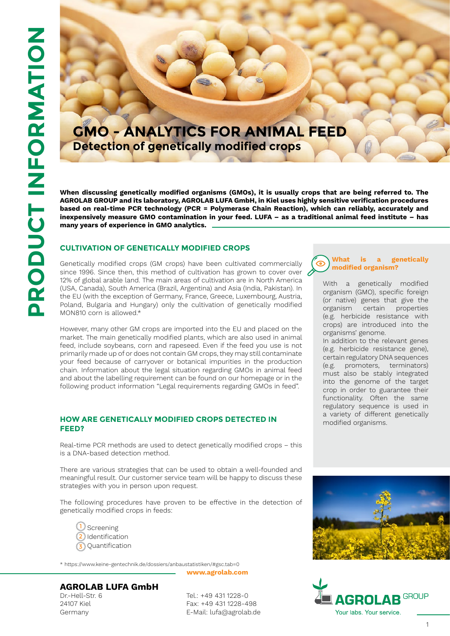## **GMO - ANALYTICS FOR ANIMAL FEED Detection of genetically modified crops**

**When discussing genetically modified organisms (GMOs), it is usually crops that are being referred to. The AGROLAB GROUP and its laboratory, AGROLAB LUFA GmbH, in Kiel uses highly sensitive verification procedures based on real-time PCR technology (PCR = Polymerase Chain Reaction), which can reliably, accurately and inexpensively measure GMO contamination in your feed. LUFA – as a traditional animal feed institute – has many years of experience in GMO analytics.**

#### **Cultivation of genetically modified crops**

Genetically modified crops (GM crops) have been cultivated commercially since 1996. Since then, this method of cultivation has grown to cover over  $\zeta$ 12% of global arable land. The main areas of cultivation are in North America (USA, Canada), South America (Brazil, Argentina) and Asia (India, Pakistan). In the EU (with the exception of Germany, France, Greece, Luxembourg, Austria, Poland, Bulgaria and Hungary) only the cultivation of genetically modified MON810 corn is allowed.\*

However, many other GM crops are imported into the EU and placed on the market. The main genetically modified plants, which are also used in animal feed, include soybeans, corn and rapeseed. Even if the feed you use is not primarily made up of or does not contain GM crops, they may still contaminate your feed because of carryover or botanical impurities in the production chain. Information about the legal situation regarding GMOs in animal feed and about the labelling requirement can be found on our homepage or in the following product information "Legal requirements regarding GMOs in feed".

#### **How are genetically modified crops detected in feed FFFD?**

Real-time PCR methods are used to detect genetically modified crops – this is a DNA-based detection method.

There are various strategies that can be used to obtain a well-founded and meaningful result. Our customer service team will be happy to discuss these strategies with you in person upon request.

The following procedures have proven to be effective in the detection of genetically modified crops in feeds:



\* https://www.keine-gentechnik.de/dossiers/anbaustatistiken/#gsc.tab=0

**www.agrolab.com**

## **AGROLAB LUFA GmbH**

Dr.-Hell-Str. 6 24107 Kiel Germany

Tel.: +49 431 1228-0 Fax: +49 431 1228-498 E-Mail: lufa@agrolab.de



With a genetically modified organism (GMO), specific foreign (or native) genes that give the organism certain properties (e.g. herbicide resistance with crops) are introduced into the organisms' genome.

In addition to the relevant genes (e.g. herbicide resistance gene), certain regulatory DNA sequences (e.g. promoters, terminators) must also be stably integrated into the genome of the target crop in order to guarantee their functionality. Often the same regulatory sequence is used in a variety of different genetically modified organisms.



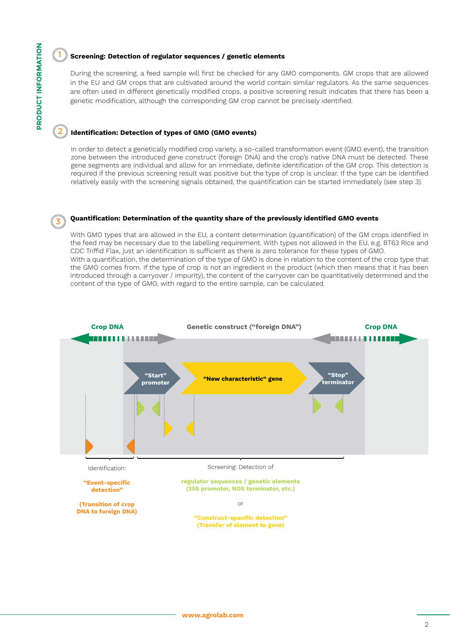#### **Screening: Detection of regulator sequences / genetic elements**

During the screening, a feed sample will first be checked for any GMO components. GM crops that are allowed in the EU and GM crops that are cultivated around the world contain similar regulators. As the same sequences are often used in different genetically modified crops, a positive screening result indicates that there has been a genetic modification, although the corresponding GM crop cannot be precisely identified.

### 2 **Identification: Detection of types of GMO (GMO events)**

In order to detect a genetically modified crop variety, a so-called transformation event (GMO event), the transition zone between the introduced gene construct (foreign DNA) and the crop's native DNA must be detected. These gene segments are individual and allow for an immediate, definite identification of the GM crop. This detection is required if the previous screening result was positive but the type of crop is unclear. If the type can be identified relatively easily with the screening signals obtained, the quantification can be started immediately (see step 3).

#### 3 **Quantification: Determination of the quantity share of the previously identified GMO events**

With GMO types that are allowed in the EU, a content determination (quantification) of the GM crops identified in the feed may be necessary due to the labelling requirement. With types not allowed in the EU, e.g. BT63 Rice and CDC Triffid Flax, just an identification is sufficient as there is zero tolerance for these types of GMO. With a quantification, the determination of the type of GMO is done in relation to the content of the crop type that the GMO comes from. If the type of crop is not an ingredient in the product (which then means that it has been introduced through a carryover / impurity), the content of the carryover can be quantitatively determined and the content of the type of GMO, with regard to the entire sample, can be calculated.



1